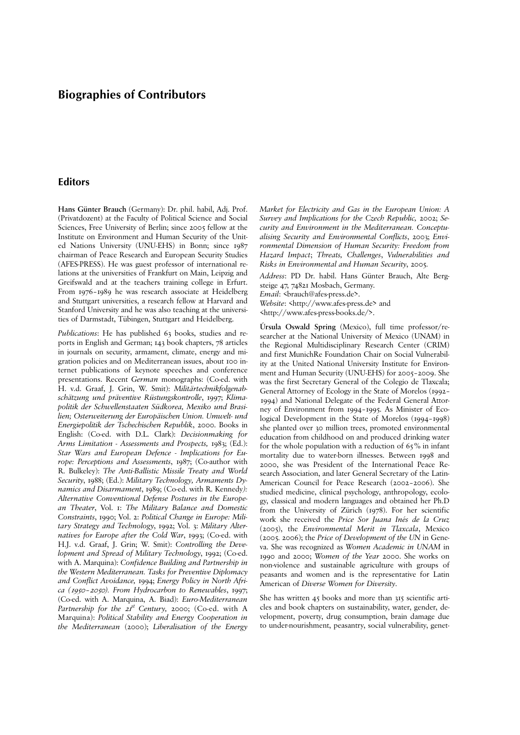## **Biographies of Contributors**

## **Editors**

**Hans Günter Brauch** (Germany): Dr. phil. habil, Adj. Prof. (Privatdozent) at the Faculty of Political Science and Social Sciences, Free University of Berlin; since 2005 fellow at the Institute on Environment and Human Security of the United Nations University (UNU-EHS) in Bonn; since 1987 chairman of Peace Research and European Security Studies (AFES-PRESS). He was guest professor of international relations at the universities of Frankfurt on Main, Leipzig and Greifswald and at the teachers training college in Erfurt. From 1976–1989 he was research associate at Heidelberg and Stuttgart universities, a research fellow at Harvard and Stanford University and he was also teaching at the universities of Darmstadt, Tübingen, Stuttgart and Heidelberg.

*Publications*: He has published 63 books, studies and reports in English and German; 143 book chapters, 78 articles in journals on security, armament, climate, energy and migration policies and on Mediterranean issues, about 100 internet publications of keynote speeches and conference presentations. Recent *German* monographs: (Co-ed. with H. v.d. Graaf, J. Grin, W. Smit): *Militärtechnikfolgenabschätzung und präventive Rüstungskontrolle*, 1997; *Klimapolitik der Schwellenstaaten Südkorea, Mexiko und Brasilien; Osterweiterung der Europäischen Union. Umwelt- und Energiepolitik der Tschechischen Republik*, 2000. Books in English: (Co-ed. with D.L. Clark): *Decisionmaking for Arms Limitation - Assessments and Prospects,* 1983; (Ed.): *Star Wars and European Defence - Implications for Europe: Perceptions and Assessments*, 1987; (Co-author with R. Bulkeley): *The Anti-Ballistic Missile Treaty and World Security*, 1988; (Ed.): *Military Technology, Armaments Dynamics and Disarmament*, 1989; (Co-ed. with R. Kennedy*): Alternative Conventional Defense Postures in the European Theater*, Vol. 1: *The Military Balance and Domestic Constraints*, 1990; Vol. 2: *Political Change in Europe: Military Strategy and Technology*, 1992; Vol. 3: *Military Alternatives for Europe after the Cold War*, 1993; (Co-ed. with H.J. v.d. Graaf, J. Grin; W. Smit): *Controlling the Development and Spread of Military Technology*, 1992; (Co-ed. with A. Marquina): *Confidence Building and Partnership in the Western Mediterranean. Tasks for Preventive Diplomacy and Conflict Avoidance,* 1994; *Energy Policy in North Africa (*<sup>1950</sup> –2050*). From Hydrocarbon to Renewables*, 1997; (Co-ed. with A. Marquina, A. Biad): *Euro-Mediterranean Partnership for the*  $2I<sup>st</sup>$  *Century, 2000; (Co-ed. with A* Marquina): *Political Stability and Energy Cooperation in the Mediterranean* (2000); *Liberalisation of the Energy*

*Market for Electricity and Gas in the European Union: A Survey and Implications for the Czech Republic,* 2002; *Security and Environment in the Mediterranean. Conceptualising Security and Environmental Conflicts*, 2003; *Environmental Dimension of Human Security: Freedom from Hazard Impact*; *Threats, Challenges*, *Vulnerabilities and Risks in Environmental and Human Security*, 2005.

*Address*: PD Dr. habil. Hans Günter Brauch, Alte Bergsteige 47, 74821 Mosbach, Germany. *Email*: <br />
strauch@afes-press.de>. *Website*: <http://www.afes-press.de> and <http://www.afes-press-books.de/>.

**Úrsula Oswald Spring** (Mexico), full time professor/researcher at the National University of Mexico (UNAM) in the Regional Multidisciplinary Research Center (CRIM) and first MunichRe Foundation Chair on Social Vulnerability at the United National University Institute for Environment and Human Security (UNU-EHS) for 2005–2009. She was the first Secretary General of the Colegio de Tlaxcala; General Attorney of Ecology in the State of Morelos (1992– 1994) and National Delegate of the Federal General Attorney of Environment from 1994–1995. As Minister of Ecological Development in the State of Morelos (1994–1998) she planted over 30 million trees, promoted environmental education from childhood on and produced drinking water for the whole population with a reduction of 65 % in infant mortality due to water-born illnesses. Between 1998 and 2000, she was President of the International Peace Research Association, and later General Secretary of the Latin-American Council for Peace Research (2002–2006). She studied medicine, clinical psychology, anthropology, ecology, classical and modern languages and obtained her Ph.D from the University of Zürich (1978). For her scientific work she received the *Price Sor Juana Inés de la Cruz* (2005), the *Environmental Merit in Tlaxcala*, Mexico (2005. 2006); the *Price of Development of the UN* in Geneva. She was recognized as *Women Academic in UNAM* in 1990 and 2000; *Women of the Year* 2000. She works on non-violence and sustainable agriculture with groups of peasants and women and is the representative for Latin American of *Diverse Women for Diversity*.

She has written 45 books and more than 315 scientific articles and book chapters on sustainability, water, gender, development, poverty, drug consumption, brain damage due to under-nourishment, peasantry, social vulnerability, genet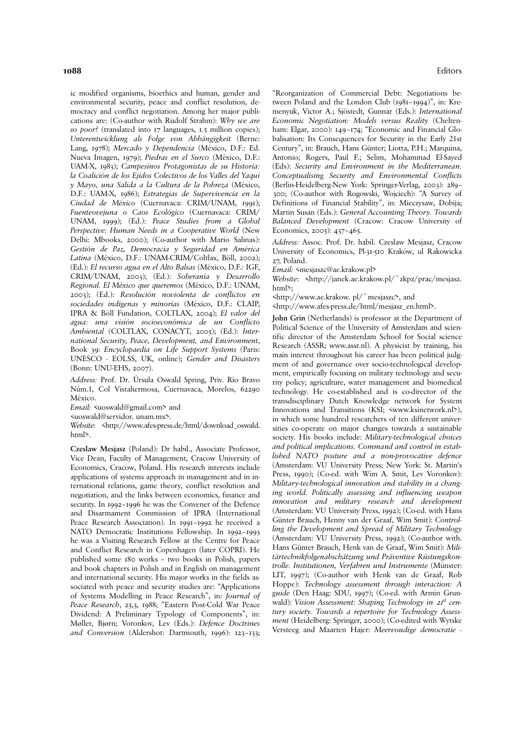ic modified organisms, bioethics and human, gender and environmental security, peace and conflict resolution, democracy and conflict negotiation. Among her major publications are: (Co-author with Rudolf Strahm): *Why we are so poor?* (translated into 17 languages, 1.5 million copies); *Unterentwicklung als Folge von Abhängigkeit* (Berne: Lang, 1978); *Mercado y Dependencia* (México, D.F.: Ed. Nueva Imagen, 1979); *Piedras en el Surco* (México, D.F.: UAM-X, 1983); *Campesinos Protagonistas de su Historia: la Coalición de los Ejidos Colectivos de los Valles del Yaqui y Mayo, una Salida a la Cultura de la Pobreza* (México, D.F.: UAM-X, 1986); *Estrategias de Supervivencia en la Ciudad de México* (Cuernavaca: CRIM/UNAM, 1991); *Fuenteovejuna o Caos Ecológico* (Cuernavaca: CRIM/ UNAM, 1999); (Ed.): *Peace Studies from a Global Perspective: Human Needs in a Cooperative World* (New Delhi: Mbooks, 2000); (Co-author with Mario Salinas): *Gestión de Paz, Democracia y Seguridad en América* Latina (México, D.F.: UNAM-CRIM/Coltlax, Böll, 2002); (Ed.): *El recurso agua en el Alto Balsas* (México, D.F.: IGF, CRIM/UNAM, 2003); (Ed.): *Soberanía y Desarrollo Regional. El México que queremos* (México, D.F.: UNAM, 2003); (Ed.): *Resolución noviolenta de conflictos en sociedades indígenas y minorías* (México, D.F.: CLAIP, IPRA & Böll Fundation, COLTLAX, 2004); *El valor del agua: una visión socioeconómica de un Conflicto Ambiental* (COLTLAX, CONACYT, 2005); (Ed.): *International Security, Peace, Development, and Environment*, Book 39: *Encyclopaedia on Life Support Systems* (Paris: UNESCO - EOLSS, UK, online); *Gender and Disasters* (Bonn: UNU-EHS, 2007).

*Address:* Prof. Dr. Úrsula Oswald Spring, Priv. Río Bravo Núm.1, Col Vistahermosa, Cuernavaca, Morelos, 62290 México.

*Email:*  $\langle$ uoswald@gmail.com> and

<uoswald@servidor. unam.mx>.

*Website:* <http://www.afes-press.de/html/download\_oswald. html>.

**Czeslaw Mesjasz** (Poland): Dr habil., Associate Professor, Vice Dean, Faculty of Management, Cracow University of Economics, Cracow, Poland. His research interests include applications of systems approach in management and in international relations, game theory, conflict resolution and negotiation, and the links between economics, finance and security. In 1992–1996 he was the Convener of the Defence and Disarmament Commission of IPRA (International Peace Research Association). In 1991–1992 he received a NATO Democratic Institutions Fellowship. In 1992–1993 he was a Visiting Research Fellow at the Centre for Peace and Conflict Research in Copenhagen (later COPRI). He published some 180 works – two books in Polish, papers and book chapters in Polish and in English on management and international security. His major works in the fields associated with peace and security studies are: "Applications of Systems Modelling in Peace Research", in: *Journal of Peace Research*, 25,3, 1988; "Eastern Post-Cold War Peace Dividend: A Preliminary Typology of Components", in: Møller, Bjørn; Voronkov, Lev (Eds.): *Defence Doctrines and Conversion* (Aldershot: Dartmouth, 1996): 123–133; "Reorganization of Commercial Debt: Negotiations between Poland and the London Club (1981–1994)", in: Kremenyuk, Victor A.; Sjöstedt, Gunnar (Eds.): *International Economic Negotiation: Models versus Reality* (Cheltenham: Elgar, 2000): 149-174; "Economic and Financial Globalisation: Its Consequences for Security in the Early 21st Century", in: Brauch, Hans Günter; Liotta, P.H.; Marquina, Antonio; Rogers, Paul F.; Selim, Mohammad El-Sayed (Eds): *Security and Environment in the Mediterranean. Conceptualising Security and Environmental Conflicts* (Berlin-Heidelberg-New York: Springer-Verlag, 2003): 289– 300; (Co-author with Rogowski, Wojciech): "A Survey of Definitions of Financial Stability", in: Mieczysaw, Dobija; Martin Susan (Eds.): *General Accounting Theory. Towards Balanced Development* (Cracow: Cracow University of Economics, 2005): 437–465.

*Address:* Assoc. Prof. Dr. habil. Czeslaw Mesjasz, Cracow University of Economics, Pl-31-510 Kraków, ul Rakowicka 27, Poland.

*Email:* <mesjaszc@ae.krakow.pl>

*Website*: <http://janek.ae.krakow.pl/~zkpz/prac/mesjasz. html>;

<http://www.ae.krakow. pl/~mesjaszc>, and

<http://www.afes-press.de/html/mesjasz\_en.html>.

**John Grin** (Netherlands) is professor at the Department of Political Science of the University of Amsterdam and scientific director of the Amsterdam School for Social science Research (ASSR; www.assr.nl). A physicist by training, his main interest throughout his career has been political judgment of and governance over socio-technological development, empirically focusing on military technology and security policy; agriculture, water management and biomedical technology. He co-established and is co-director of the transdisciplinary Dutch Knowledge network for System Innovations and Transitions (KSI; <www.ksinetwork.nl>), in which some hundred researchers of ten different universities co-operate on major changes towards a sustainable society. His books include: *Military-technological choices and political implications. Command and control in established NATO posture and a non-provocative defence* (Amsterdam: VU University Press; New York: St. Martin's Press, 1990); (Co-ed. with Wim A. Smit, Lev Voronkov): *Military-technological innovation and stability in a changing world. Politically assessing and influencing weapon innovation and military research and development* (Amsterdam: VU University Press, 1992); (Co-ed. with Hans Günter Brauch, Henny van der Graaf, Wim Smit): *Controlling the Development and Spread of Military Technology* (Amsterdam: VU University Press, 1992); (Co-author with. Hans Günter Brauch, Henk van de Graaf, Wim Smit): *Militärtechnikfolgenabschätzung und Präventive Rüstungskontrolle. Institutionen, Verfahren und Instrumente* (Münster: LIT, 1997); (Co-author with Henk van de Graaf, Rob Hoppe): *Technology assessment through interaction: A guide* (Den Haag: SDU, 1997); (Co-ed. with Armin Grunwald): *Vision Assessment: Shaping Technology in*  $2I<sup>st</sup>$  *century society. Towards a repertoire for Technology Assessment* (Heidelberg: Springer, 2000); (Co-edited with Wytske Versteeg and Maarten Hajer: *Meervoudige democratie -*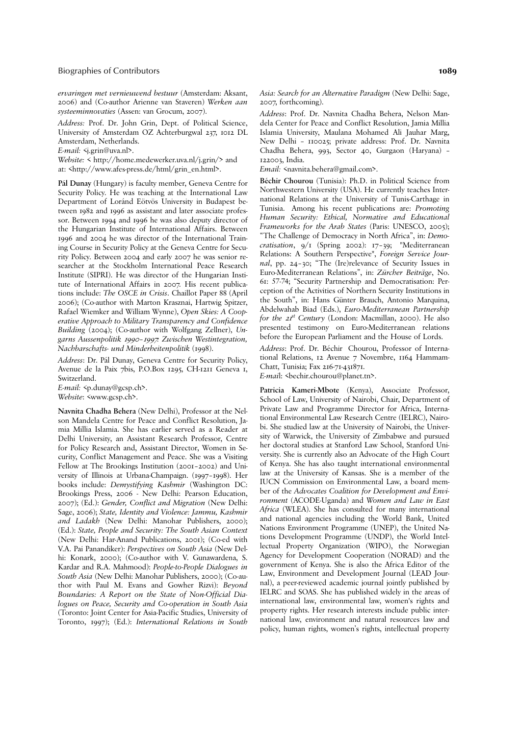*ervaringen met vernieuwend bestuur* (Amsterdam: Aksant, 2006) and (Co-author Arienne van Staveren) *Werken aan systeeminnovaties* (Assen: van Grocum, 2007).

*Address:* Prof. Dr. John Grin, Dept. of Political Science, University of Amsterdam OZ Achterburgwal 237, 1012 DL Amsterdam, Netherlands.

*E-mail:* <j.grin@uva.nl>.

*Website:* < http://home.medewerker.uva.nl/j.grin/> and at: <http://www.afes-press.de/html/grin\_en.html>.

**Pál Dunay** (Hungary) is faculty member, Geneva Centre for Security Policy. He was teaching at the International Law Department of Loránd Eötvös University in Budapest between 1982 and 1996 as assistant and later associate professor. Between 1994 and 1996 he was also deputy director of the Hungarian Institute of International Affairs. Between 1996 and 2004 he was director of the International Training Course in Security Policy at the Geneva Centre for Security Policy. Between 2004 and early 2007 he was senior researcher at the Stockholm International Peace Research Institute (SIPRI). He was director of the Hungarian Institute of International Affairs in 2007. His recent publications include: *The OSCE in Crisis*. Chaillot Paper 88 (April 2006); (Co-author with Marton Krasznai, Hartwig Spitzer, Rafael Wiemker and William Wynne), *Open Skies: A Cooperative Approach to Military Transparency and Confidence Building* (2004); (Co-author with Wolfgang Zellner), *Ungarns Aussenpolitik* 1990–1997*: Zwischen Westintegration, Nachbarschafts- und Minderheitenpolitik* (1998).

*Address*: Dr. Pál Dunay, Geneva Centre for Security Policy, Avenue de la Paix 7bis, P.O.Box 1295, CH-1211 Geneva 1, Switzerland.

*E-mail:* <p.dunay@gcsp.ch>. *Website*: <www.gcsp.ch>.

**Navnita Chadha Behera** (New Delhi), Professor at the Nelson Mandela Centre for Peace and Conflict Resolution, Jamia Millia Islamia. She has earlier served as a Reader at Delhi University, an Assistant Research Professor, Centre for Policy Research and, Assistant Director, Women in Security, Conflict Management and Peace. She was a Visiting Fellow at The Brookings Institution (2001–2002) and University of Illinois at Urbana-Champaign. (1997–1998). Her books include: *Demystifying Kashmir* (Washington DC: Brookings Press, 2006 - New Delhi: Pearson Education, 2007); (Ed.): *Gender, Conflict and Migration* (New Delhi: Sage, 2006); *State, Identity and Violence: Jammu, Kashmir and Ladakh* (New Delhi: Manohar Publishers, 2000); (Ed.): *State, People and Security: The South Asian Context* (New Delhi: Har-Anand Publications, 2001); (Co-ed with V.A. Pai Panandiker): *Perspectives on South Asia* (New Delhi: Konark, 2000); (Co-author with V. Gunawardena, S. Kardar and R.A. Mahmood): *People-to-People Dialogues in South Asia* (New Delhi: Manohar Publishers, 2000); (Co-author with Paul M. Evans and Gowher Rizvi): *Beyond Boundaries: A Report on the State of Non-Official Dialogues on Peace, Security and Co-operation in South Asia* (Toronto: Joint Center for Asia-Pacific Studies, University of Toronto, 1997); (Ed.): *International Relations in South* *Address*: Prof. Dr. Navnita Chadha Behera, Nelson Mandela Center for Peace and Conflict Resolution, Jamia Millia Islamia University, Maulana Mohamed Ali Jauhar Marg, New Delhi – 110025; private address: Prof. Dr. Navnita Chadha Behera, 993, Sector 40, Gurgaon (Haryana) – 122003, India.

*Email:* <navnita.behera@gmail.com>.

**Béchir Chourou** (Tunisia): Ph.D. in Political Science from Northwestern University (USA). He currently teaches International Relations at the University of Tunis-Carthage in Tunisia. Among his recent publications are: *Promoting Human Security: Ethical, Normative and Educational Frameworks for the Arab States* (Paris: UNESCO, 2005); "The Challenge of Democracy in North Africa", in: *Democratisation*, 9/1 (Spring 2002): 17–39; "Mediterranean Relations: A Southern Perspective", *Foreign Service Journal*, pp. 24–30; "The (Ire)relevance of Security Issues in Euro-Mediterranean Relations", in: *Zürcher Beiträge*, No. 61: 57-74; "Security Partnership and Democratisation: Perception of the Activities of Northern Security Institutions in the South", in: Hans Günter Brauch, Antonio Marquina, Abdelwahab Biad (Eds.), *Euro-Mediterranean Partnership for the 21<sup>st</sup>* Century (London: Macmillan, 2000). He also presented testimony on Euro-Mediterranean relations before the European Parliament and the House of Lords.

*Address*: Prof. Dr. Béchir Chourou, Professor of International Relations, 12 Avenue 7 Novembre, 1164 Hammam-Chatt, Tunisia; Fax 216-71-431871.

*E-mail:* <br/>bechir.chourou@planet.tn>.

**Patricia Kameri-Mbote** (Kenya), Associate Professor, School of Law, University of Nairobi, Chair, Department of Private Law and Programme Director for Africa, International Environmental Law Research Centre (IELRC), Nairobi. She studied law at the University of Nairobi, the University of Warwick, the University of Zimbabwe and pursued her doctoral studies at Stanford Law School, Stanford University. She is currently also an Advocate of the High Court of Kenya. She has also taught international environmental law at the University of Kansas. She is a member of the IUCN Commission on Environmental Law, a board member of the *Advocates Coalition for Development and Environment* (ACODE-Uganda) and *Women and Law in East Africa* (WLEA). She has consulted for many international and national agencies including the World Bank, United Nations Environment Programme (UNEP), the United Nations Development Programme (UNDP), the World Intellectual Property Organization (WIPO), the Norwegian Agency for Development Cooperation (NORAD) and the government of Kenya. She is also the Africa Editor of the Law, Environment and Development Journal (LEAD Journal), a peer-reviewed academic journal jointly published by IELRC and SOAS. She has published widely in the areas of international law, environmental law, women's rights and property rights. Her research interests include public international law, environment and natural resources law and policy, human rights, women's rights, intellectual property